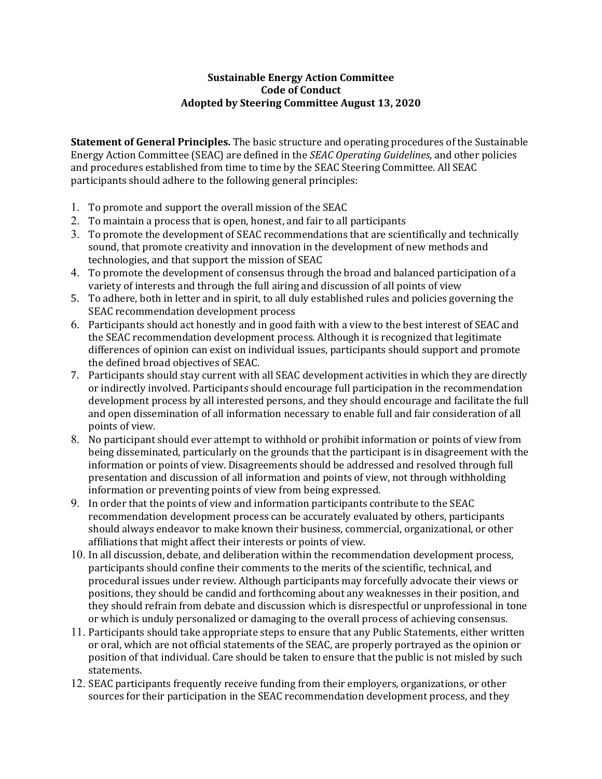## **Sustainable Energy Action Committee Code of Conduct Adopted by Steering Committee August 13, 2020**

**Statement of General Principles.** The basic structure and operating procedures of the Sustainable Energy Action Committee (SEAC) are defined in the *SEAC Operating Guidelines*, and other policies and procedures established from time to time by the SEAC Steering Committee. All SEAC participants should adhere to the following general principles:

- 1. To promote and support the overall mission of the SEAC
- 2. To maintain a process that is open, honest, and fair to all participants
- 3. To promote the development of SEAC recommendations that are scientifically and technically sound, that promote creativity and innovation in the development of new methods and technologies, and that support the mission of SEAC
- 4. To promote the development of consensus through the broad and balanced participation of a variety of interests and through the full airing and discussion of all points of view
- 5. To adhere, both in letter and in spirit, to all duly established rules and policies governing the SEAC recommendation development process
- 6. Participants should act honestly and in good faith with a view to the best interest of SEAC and the SEAC recommendation development process. Although it is recognized that legitimate differences of opinion can exist on individual issues, participants should support and promote the defined broad objectives of SEAC.
- 7. Participants should stay current with all SEAC development activities in which they are directly or indirectly involved. Participants should encourage full participation in the recommendation development process by all interested persons, and they should encourage and facilitate the full and open dissemination of all information necessary to enable full and fair consideration of all points of view.
- 8. No participant should ever attempt to withhold or prohibit information or points of view from being disseminated, particularly on the grounds that the participant is in disagreement with the information or points of view. Disagreements should be addressed and resolved through full presentation and discussion of all information and points of view, not through withholding information or preventing points of view from being expressed.
- 9. In order that the points of view and information participants contribute to the SEAC recommendation development process can be accurately evaluated by others, participants should always endeavor to make known their business, commercial, organizational, or other affiliations that might affect their interests or points of view.
- 10. In all discussion, debate, and deliberation within the recommendation development process, participants should confine their comments to the merits of the scientific, technical, and procedural issues under review. Although participants may forcefully advocate their views or positions, they should be candid and forthcoming about any weaknesses in their position, and they should refrain from debate and discussion which is disrespectful or unprofessional in tone or which is unduly personalized or damaging to the overall process of achieving consensus.
- 11. Participants should take appropriate steps to ensure that any Public Statements, either written or oral, which are not official statements of the SEAC, are properly portrayed as the opinion or position of that individual. Care should be taken to ensure that the public is not misled by such statements.
- 12. SEAC participants frequently receive funding from their employers, organizations, or other sources for their participation in the SEAC recommendation development process, and they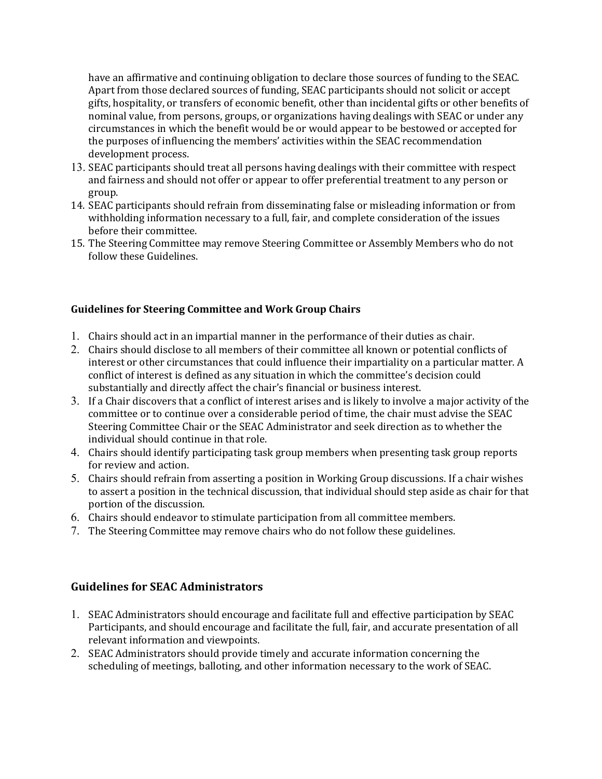have an affirmative and continuing obligation to declare those sources of funding to the SEAC. Apart from those declared sources of funding, SEAC participants should not solicit or accept gifts, hospitality, or transfers of economic benefit, other than incidental gifts or other benefits of nominal value, from persons, groups, or organizations having dealings with SEAC or under any circumstances in which the benefit would be or would appear to be bestowed or accepted for the purposes of influencing the members' activities within the SEAC recommendation development process.

- 13. SEAC participants should treat all persons having dealings with their committee with respect and fairness and should not offer or appear to offer preferential treatment to any person or group.
- 14. SEAC participants should refrain from disseminating false or misleading information or from withholding information necessary to a full, fair, and complete consideration of the issues before their committee.
- 15. The Steering Committee may remove Steering Committee or Assembly Members who do not follow these Guidelines.

## **Guidelines for Steering Committee and Work Group Chairs**

- 1. Chairs should act in an impartial manner in the performance of their duties as chair.
- 2. Chairs should disclose to all members of their committee all known or potential conflicts of interest or other circumstances that could influence their impartiality on a particular matter. A conflict of interest is defined as any situation in which the committee's decision could substantially and directly affect the chair's financial or business interest.
- 3. If a Chair discovers that a conflict of interest arises and is likely to involve a major activity of the committee or to continue over a considerable period of time, the chair must advise the SEAC Steering Committee Chair or the SEAC Administrator and seek direction as to whether the individual should continue in that role.
- 4. Chairs should identify participating task group members when presenting task group reports for review and action.
- 5. Chairs should refrain from asserting a position in Working Group discussions. If a chair wishes to assert a position in the technical discussion, that individual should step aside as chair for that portion of the discussion.
- 6. Chairs should endeavor to stimulate participation from all committee members.
- 7. The Steering Committee may remove chairs who do not follow these guidelines.

## **Guidelines for SEAC Administrators**

- 1. SEAC Administrators should encourage and facilitate full and effective participation by SEAC Participants, and should encourage and facilitate the full, fair, and accurate presentation of all relevant information and viewpoints.
- 2. SEAC Administrators should provide timely and accurate information concerning the scheduling of meetings, balloting, and other information necessary to the work of SEAC.